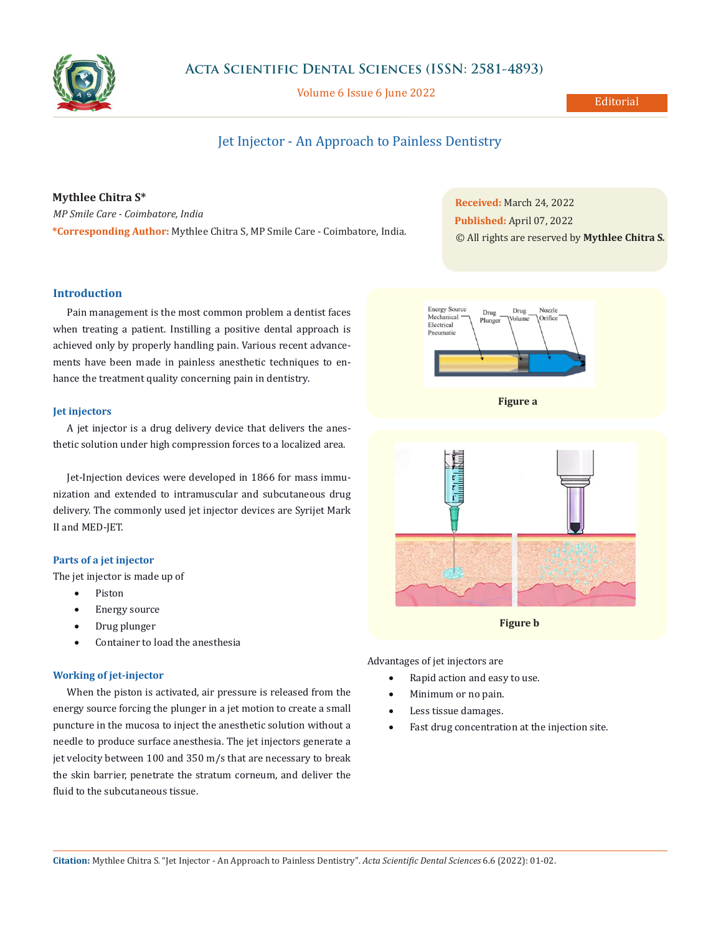

## **Acta Scientific Dental Sciences (ISSN: 2581-4893)**

Volume 6 Issue 6 June 2022

## Editorial

# Jet Injector - An Approach to Painless Dentistry

## **Mythlee Chitra S\***

*MP Smile Care - Coimbatore, India* **\*Corresponding Author:** Mythlee Chitra S, MP Smile Care - Coimbatore, India.

# **Received:** March 24, 2022 **Published:** April 07, 2022 © All rights are reserved by **Mythlee Chitra S***.*

## **Introduction**

Pain management is the most common problem a dentist faces when treating a patient. Instilling a positive dental approach is achieved only by properly handling pain. Various recent advancements have been made in painless anesthetic techniques to enhance the treatment quality concerning pain in dentistry.

#### **Jet injectors**

A jet injector is a drug delivery device that delivers the anesthetic solution under high compression forces to a localized area.

Jet-Injection devices were developed in 1866 for mass immunization and extended to intramuscular and subcutaneous drug delivery. The commonly used jet injector devices are Syrijet Mark II and MED-JET.

#### **Parts of a jet injector**

The jet injector is made up of

- • Piston
- Energy source
- Drug plunger
- Container to load the anesthesia

#### **Working of jet-injector**

When the piston is activated, air pressure is released from the energy source forcing the plunger in a jet motion to create a small puncture in the mucosa to inject the anesthetic solution without a needle to produce surface anesthesia. The jet injectors generate a jet velocity between 100 and 350 m/s that are necessary to break the skin barrier, penetrate the stratum corneum, and deliver the fluid to the subcutaneous tissue.







**Figure b**

Advantages of jet injectors are

- Rapid action and easy to use.
- Minimum or no pain.
- Less tissue damages.
- Fast drug concentration at the injection site.